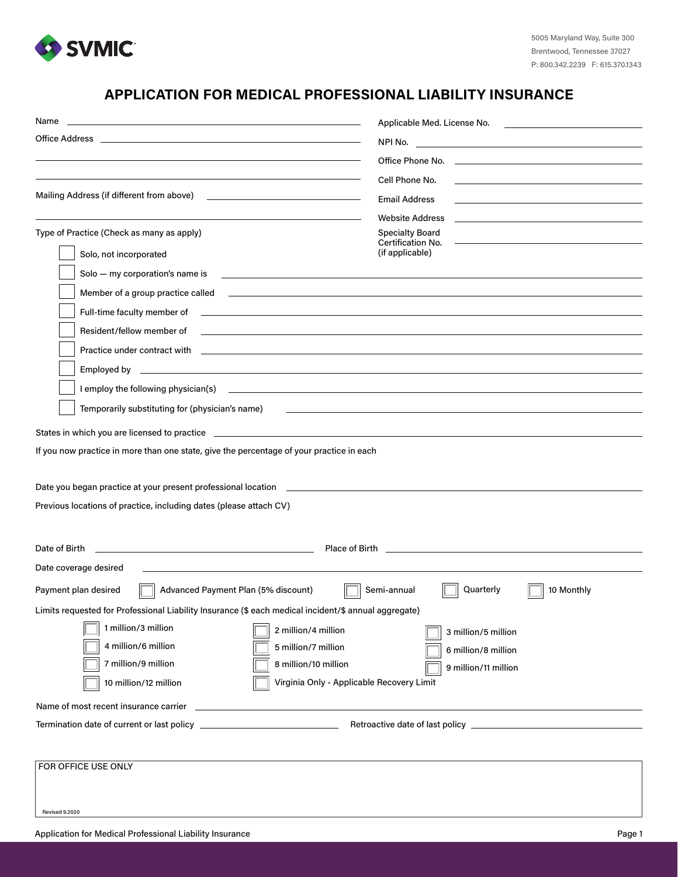

## **APPLICATION FOR MEDICAL PROFESSIONAL LIABILITY INSURANCE**

| Name<br>and the control of the control of the control of the control of the control of the control of the control of the                                                                                                             | Applicable Med. License No.                                                                                                                                                                                                          |
|--------------------------------------------------------------------------------------------------------------------------------------------------------------------------------------------------------------------------------------|--------------------------------------------------------------------------------------------------------------------------------------------------------------------------------------------------------------------------------------|
| Office Address and the control of the control of the control of the control of the control of the control of the control of the control of the control of the control of the control of the control of the control of the cont       |                                                                                                                                                                                                                                      |
|                                                                                                                                                                                                                                      | Office Phone No. The contract of the contract of the contract of the contract of the contract of the contract of the contract of the contract of the contract of the contract of the contract of the contract of the contract        |
|                                                                                                                                                                                                                                      | Cell Phone No.                                                                                                                                                                                                                       |
| Mailing Address (if different from above)                                                                                                                                                                                            | <b>Email Address</b>                                                                                                                                                                                                                 |
|                                                                                                                                                                                                                                      | <b>Website Address</b>                                                                                                                                                                                                               |
| Type of Practice (Check as many as apply)                                                                                                                                                                                            | <b>Specialty Board</b>                                                                                                                                                                                                               |
| Solo, not incorporated                                                                                                                                                                                                               | Certification No.<br>(if applicable)                                                                                                                                                                                                 |
| Solo - my corporation's name is<br><u> 1989 - Johann Harry Harry Harry Harry Harry Harry Harry Harry Harry Harry Harry Harry Harry Harry Harry Harry</u>                                                                             |                                                                                                                                                                                                                                      |
|                                                                                                                                                                                                                                      |                                                                                                                                                                                                                                      |
|                                                                                                                                                                                                                                      |                                                                                                                                                                                                                                      |
| Resident/fellow member of                                                                                                                                                                                                            |                                                                                                                                                                                                                                      |
|                                                                                                                                                                                                                                      |                                                                                                                                                                                                                                      |
|                                                                                                                                                                                                                                      |                                                                                                                                                                                                                                      |
|                                                                                                                                                                                                                                      |                                                                                                                                                                                                                                      |
| Temporarily substituting for (physician's name)                                                                                                                                                                                      |                                                                                                                                                                                                                                      |
|                                                                                                                                                                                                                                      |                                                                                                                                                                                                                                      |
| States in which you are licensed to practice <b>example and the state of the state of the state of the state of the state of the state of the state of the state of the state of the state of the state of the state of the stat</b> |                                                                                                                                                                                                                                      |
| If you now practice in more than one state, give the percentage of your practice in each                                                                                                                                             |                                                                                                                                                                                                                                      |
|                                                                                                                                                                                                                                      |                                                                                                                                                                                                                                      |
|                                                                                                                                                                                                                                      |                                                                                                                                                                                                                                      |
| Previous locations of practice, including dates (please attach CV)                                                                                                                                                                   |                                                                                                                                                                                                                                      |
|                                                                                                                                                                                                                                      |                                                                                                                                                                                                                                      |
| Date of Birth<br><u> 1989 - Johann Stein, mars an deus an deus Amerikaansk kommunister (</u>                                                                                                                                         | Place of Birth <b>Executive Contract Contract Contract Contract Contract Contract Contract Contract Contract Contract Contract Contract Contract Contract Contract Contract Contract Contract Contract Contract Contract Contrac</b> |
| Date coverage desired                                                                                                                                                                                                                |                                                                                                                                                                                                                                      |
| Payment plan desired<br>Advanced Payment Plan (5% discount)                                                                                                                                                                          | Quarterly<br>10 Monthly<br>Semi-annual                                                                                                                                                                                               |
| Limits requested for Professional Liability Insurance (\$ each medical incident/\$ annual aggregate)                                                                                                                                 |                                                                                                                                                                                                                                      |
| 1 million/3 million<br>2 million/4 million                                                                                                                                                                                           | 3 million/5 million                                                                                                                                                                                                                  |
| 4 million/6 million<br>5 million/7 million                                                                                                                                                                                           | 6 million/8 million                                                                                                                                                                                                                  |
| 7 million/9 million<br>8 million/10 million                                                                                                                                                                                          | 9 million/11 million                                                                                                                                                                                                                 |
| Virginia Only - Applicable Recovery Limit<br>10 million/12 million                                                                                                                                                                   |                                                                                                                                                                                                                                      |
|                                                                                                                                                                                                                                      |                                                                                                                                                                                                                                      |
|                                                                                                                                                                                                                                      |                                                                                                                                                                                                                                      |
|                                                                                                                                                                                                                                      |                                                                                                                                                                                                                                      |
| FOR OFFICE USE ONLY                                                                                                                                                                                                                  |                                                                                                                                                                                                                                      |
|                                                                                                                                                                                                                                      |                                                                                                                                                                                                                                      |
|                                                                                                                                                                                                                                      |                                                                                                                                                                                                                                      |
| <b>Revised 9.2020</b>                                                                                                                                                                                                                |                                                                                                                                                                                                                                      |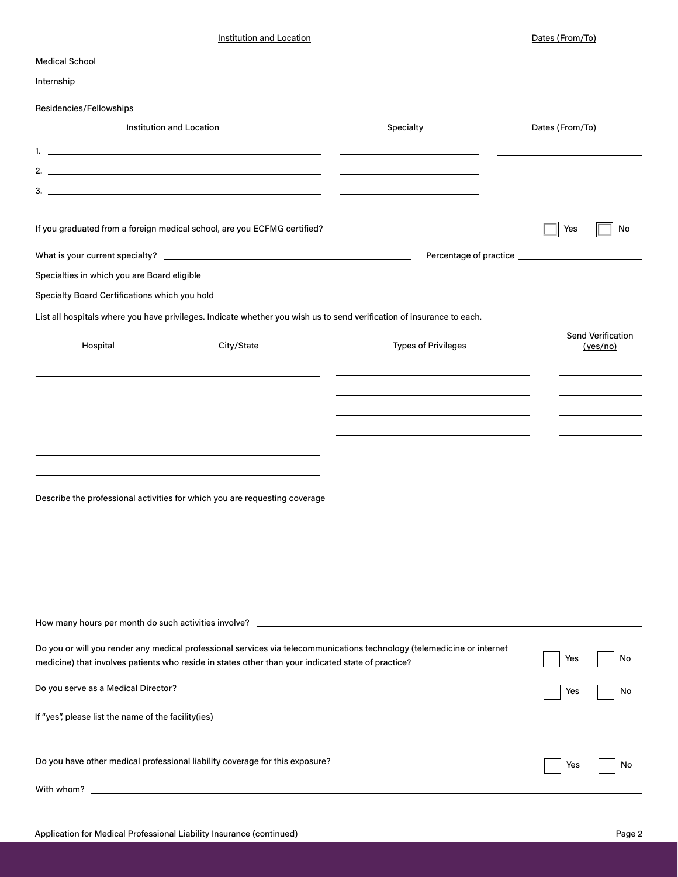Institution and Location **Dates (From/To)** 

| <b>Medical School</b>                                                                                                                                                                                                            | <u> 1988 - John Harry Harry Harry Harry Harry Harry Harry Harry Harry Harry Harry Harry Harry Harry Harry Harry H</u>                                                                                                                                                                |                            |                               |
|----------------------------------------------------------------------------------------------------------------------------------------------------------------------------------------------------------------------------------|--------------------------------------------------------------------------------------------------------------------------------------------------------------------------------------------------------------------------------------------------------------------------------------|----------------------------|-------------------------------|
|                                                                                                                                                                                                                                  | Internship and the contract of the contract of the contract of the contract of the contract of the contract of                                                                                                                                                                       |                            |                               |
| Residencies/Fellowships                                                                                                                                                                                                          |                                                                                                                                                                                                                                                                                      |                            |                               |
| <b>Institution and Location</b>                                                                                                                                                                                                  |                                                                                                                                                                                                                                                                                      | Specialty                  | Dates (From/To)               |
| 1. $\sim$ 1. $\sim$ 1. The set of the set of the set of the set of the set of the set of the set of the set of the set of the set of the set of the set of the set of the set of the set of the set of the set of the set of the |                                                                                                                                                                                                                                                                                      |                            |                               |
|                                                                                                                                                                                                                                  | 2. $\sim$ 2. $\sim$ 2. $\sim$ 2. $\sim$ 2. $\sim$ 2. $\sim$ 2. $\sim$ 2. $\sim$ 2. $\sim$ 2. $\sim$ 2. $\sim$ 2. $\sim$ 2. $\sim$ 2. $\sim$ 2. $\sim$ 2. $\sim$ 2. $\sim$ 2. $\sim$ 2. $\sim$ 2. $\sim$ 2. $\sim$ 2. $\sim$ 2. $\sim$ 2. $\sim$ 2. $\sim$ 2. $\sim$ 2. $\sim$ 2. $\$ |                            |                               |
|                                                                                                                                                                                                                                  | 3.                                                                                                                                                                                                                                                                                   |                            |                               |
|                                                                                                                                                                                                                                  | If you graduated from a foreign medical school, are you ECFMG certified?                                                                                                                                                                                                             |                            | Yes<br>No                     |
|                                                                                                                                                                                                                                  |                                                                                                                                                                                                                                                                                      |                            |                               |
|                                                                                                                                                                                                                                  | Specialties in which you are Board eligible Learner and the state of the state of the state of the state of the state of the state of the state of the state of the state of the state of the state of the state of the state                                                        |                            |                               |
|                                                                                                                                                                                                                                  | Specialty Board Certifications which you hold <b>example and the control of the control of the control of the control of the control of the control of the control of the control of the control of the control of the control o</b>                                                 |                            |                               |
|                                                                                                                                                                                                                                  | List all hospitals where you have privileges. Indicate whether you wish us to send verification of insurance to each.                                                                                                                                                                |                            |                               |
| Hospital                                                                                                                                                                                                                         | City/State                                                                                                                                                                                                                                                                           | <b>Types of Privileges</b> | Send Verification<br>(yes/no) |
|                                                                                                                                                                                                                                  |                                                                                                                                                                                                                                                                                      |                            |                               |
|                                                                                                                                                                                                                                  |                                                                                                                                                                                                                                                                                      |                            |                               |
|                                                                                                                                                                                                                                  |                                                                                                                                                                                                                                                                                      |                            |                               |
|                                                                                                                                                                                                                                  |                                                                                                                                                                                                                                                                                      |                            |                               |
|                                                                                                                                                                                                                                  |                                                                                                                                                                                                                                                                                      |                            |                               |
|                                                                                                                                                                                                                                  |                                                                                                                                                                                                                                                                                      |                            |                               |
|                                                                                                                                                                                                                                  | Describe the professional activities for which you are requesting coverage                                                                                                                                                                                                           |                            |                               |
|                                                                                                                                                                                                                                  |                                                                                                                                                                                                                                                                                      |                            |                               |
|                                                                                                                                                                                                                                  |                                                                                                                                                                                                                                                                                      |                            |                               |
|                                                                                                                                                                                                                                  |                                                                                                                                                                                                                                                                                      |                            |                               |
|                                                                                                                                                                                                                                  |                                                                                                                                                                                                                                                                                      |                            |                               |
|                                                                                                                                                                                                                                  |                                                                                                                                                                                                                                                                                      |                            |                               |
| How many hours per month do such activities involve?                                                                                                                                                                             |                                                                                                                                                                                                                                                                                      |                            |                               |
|                                                                                                                                                                                                                                  | Do you or will you render any medical professional services via telecommunications technology (telemedicine or internet<br>medicine) that involves patients who reside in states other than your indicated state of practice?                                                        |                            | No<br>Yes                     |
| Do you serve as a Medical Director?                                                                                                                                                                                              |                                                                                                                                                                                                                                                                                      |                            | Yes<br>No                     |
| If "yes", please list the name of the facility(ies)                                                                                                                                                                              |                                                                                                                                                                                                                                                                                      |                            |                               |
|                                                                                                                                                                                                                                  |                                                                                                                                                                                                                                                                                      |                            |                               |
|                                                                                                                                                                                                                                  | Do you have other medical professional liability coverage for this exposure?                                                                                                                                                                                                         |                            | Yes<br>No                     |
| With whom?                                                                                                                                                                                                                       |                                                                                                                                                                                                                                                                                      |                            |                               |
|                                                                                                                                                                                                                                  |                                                                                                                                                                                                                                                                                      |                            |                               |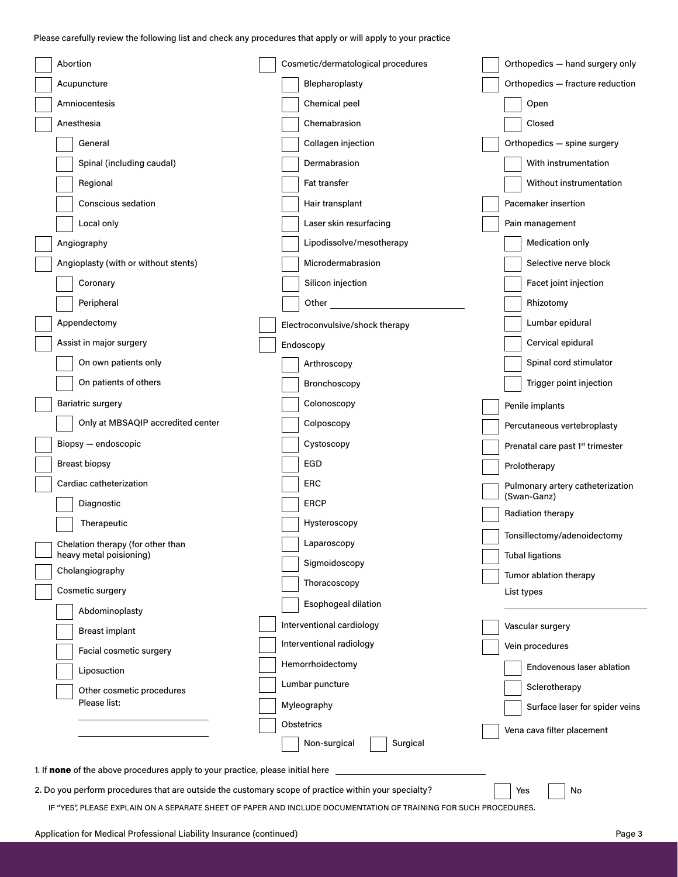Please carefully review the following list and check any procedures that apply or will apply to your practice

| Abortion                                                                                                         | Cosmetic/dermatological procedures | Orthopedics - hand surgery only              |  |
|------------------------------------------------------------------------------------------------------------------|------------------------------------|----------------------------------------------|--|
| Acupuncture                                                                                                      | Blepharoplasty                     | Orthopedics - fracture reduction             |  |
| Amniocentesis                                                                                                    | Chemical peel                      | Open                                         |  |
| Anesthesia                                                                                                       | Chemabrasion                       | Closed                                       |  |
| General                                                                                                          | Collagen injection                 | Orthopedics - spine surgery                  |  |
| Spinal (including caudal)                                                                                        | Dermabrasion                       | With instrumentation                         |  |
| Regional                                                                                                         | Fat transfer                       | Without instrumentation                      |  |
| <b>Conscious sedation</b>                                                                                        | Hair transplant                    | Pacemaker insertion                          |  |
| Local only                                                                                                       | Laser skin resurfacing             | Pain management                              |  |
| Angiography                                                                                                      | Lipodissolve/mesotherapy           | Medication only                              |  |
| Angioplasty (with or without stents)                                                                             | Microdermabrasion                  | Selective nerve block                        |  |
| Coronary                                                                                                         | Silicon injection                  | Facet joint injection                        |  |
| Peripheral                                                                                                       | Other                              | Rhizotomy                                    |  |
| Appendectomy                                                                                                     | Electroconvulsive/shock therapy    | Lumbar epidural                              |  |
| Assist in major surgery                                                                                          | Endoscopy                          | Cervical epidural                            |  |
| On own patients only                                                                                             | Arthroscopy                        | Spinal cord stimulator                       |  |
| On patients of others                                                                                            | Bronchoscopy                       | Trigger point injection                      |  |
| <b>Bariatric surgery</b>                                                                                         | Colonoscopy                        | Penile implants                              |  |
| Only at MBSAQIP accredited center                                                                                | Colposcopy                         | Percutaneous vertebroplasty                  |  |
| Biopsy - endoscopic                                                                                              | Cystoscopy                         | Prenatal care past 1 <sup>st</sup> trimester |  |
| <b>Breast biopsy</b>                                                                                             | EGD                                | Prolotherapy                                 |  |
| Cardiac catheterization                                                                                          | <b>ERC</b>                         | Pulmonary artery catheterization             |  |
| Diagnostic                                                                                                       | <b>ERCP</b>                        | (Swan-Ganz)                                  |  |
| Therapeutic                                                                                                      | Hysteroscopy                       | Radiation therapy                            |  |
| Chelation therapy (for other than                                                                                | Laparoscopy                        | Tonsillectomy/adenoidectomy                  |  |
| heavy metal poisioning)<br>Cholangiography                                                                       | Sigmoidoscopy                      | <b>Tubal ligations</b>                       |  |
| Cosmetic surgery                                                                                                 | Thoracoscopy                       | Tumor ablation therapy<br>List types         |  |
| Abdominoplasty                                                                                                   | Esophogeal dilation                |                                              |  |
| <b>Breast implant</b>                                                                                            | Interventional cardiology          | Vascular surgery                             |  |
| Facial cosmetic surgery                                                                                          | Interventional radiology           | Vein procedures                              |  |
| Liposuction                                                                                                      | Hemorrhoidectomy                   | Endovenous laser ablation                    |  |
| Other cosmetic procedures                                                                                        | Lumbar puncture                    | Sclerotherapy                                |  |
| Please list:                                                                                                     | Myleography                        | Surface laser for spider veins               |  |
|                                                                                                                  | Obstetrics                         | Vena cava filter placement                   |  |
|                                                                                                                  | Non-surgical<br>Surgical           |                                              |  |
| 1. If none of the above procedures apply to your practice, please initial here                                   |                                    |                                              |  |
| 2. Do you perform procedures that are outside the customary scope of practice within your specialty?             |                                    | Yes<br>No                                    |  |
| IF "YES", PLEASE EXPLAIN ON A SEPARATE SHEET OF PAPER AND INCLUDE DOCUMENTATION OF TRAINING FOR SUCH PROCEDURES. |                                    |                                              |  |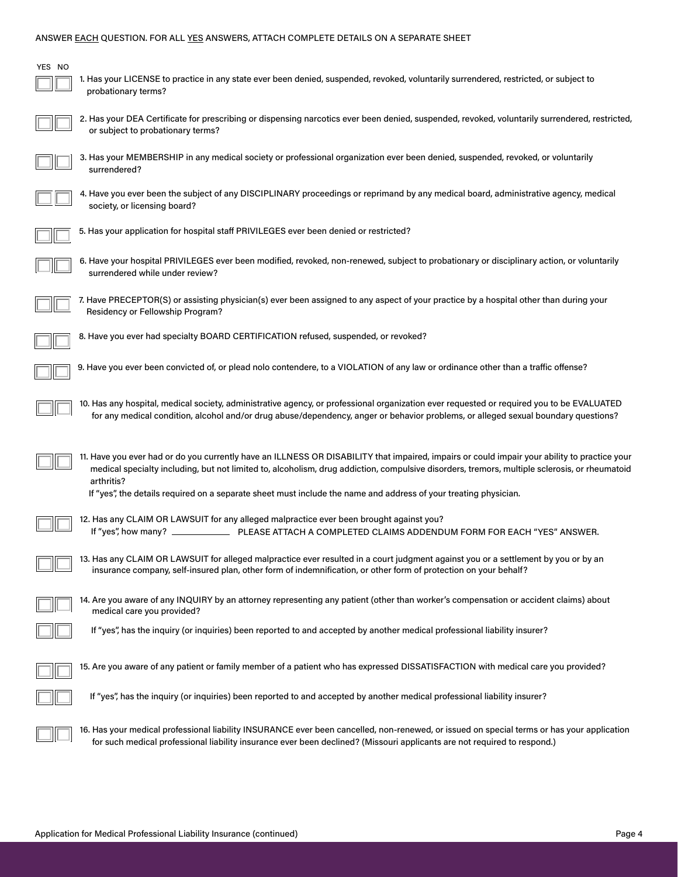#### ANSWER EACH QUESTION. FOR ALL YES ANSWERS, ATTACH COMPLETE DETAILS ON A SEPARATE SHEET

| YES NO | 1. Has your LICENSE to practice in any state ever been denied, suspended, revoked, voluntarily surrendered, restricted, or subject to<br>probationary terms?                                                                                                                                                                                                                                                                    |
|--------|---------------------------------------------------------------------------------------------------------------------------------------------------------------------------------------------------------------------------------------------------------------------------------------------------------------------------------------------------------------------------------------------------------------------------------|
|        | 2. Has your DEA Certificate for prescribing or dispensing narcotics ever been denied, suspended, revoked, voluntarily surrendered, restricted,<br>or subject to probationary terms?                                                                                                                                                                                                                                             |
|        | 3. Has your MEMBERSHIP in any medical society or professional organization ever been denied, suspended, revoked, or voluntarily<br>surrendered?                                                                                                                                                                                                                                                                                 |
|        | 4. Have you ever been the subject of any DISCIPLINARY proceedings or reprimand by any medical board, administrative agency, medical<br>society, or licensing board?                                                                                                                                                                                                                                                             |
|        | 5. Has your application for hospital staff PRIVILEGES ever been denied or restricted?                                                                                                                                                                                                                                                                                                                                           |
|        | 6. Have your hospital PRIVILEGES ever been modified, revoked, non-renewed, subject to probationary or disciplinary action, or voluntarily<br>surrendered while under review?                                                                                                                                                                                                                                                    |
|        | 7. Have PRECEPTOR(S) or assisting physician(s) ever been assigned to any aspect of your practice by a hospital other than during your<br>Residency or Fellowship Program?                                                                                                                                                                                                                                                       |
|        | 8. Have you ever had specialty BOARD CERTIFICATION refused, suspended, or revoked?                                                                                                                                                                                                                                                                                                                                              |
|        | 9. Have you ever been convicted of, or plead nolo contendere, to a VIOLATION of any law or ordinance other than a traffic offense?                                                                                                                                                                                                                                                                                              |
|        | 10. Has any hospital, medical society, administrative agency, or professional organization ever requested or required you to be EVALUATED<br>for any medical condition, alcohol and/or drug abuse/dependency, anger or behavior problems, or alleged sexual boundary questions?                                                                                                                                                 |
|        | 11. Have you ever had or do you currently have an ILLNESS OR DISABILITY that impaired, impairs or could impair your ability to practice your<br>medical specialty including, but not limited to, alcoholism, drug addiction, compulsive disorders, tremors, multiple sclerosis, or rheumatoid<br>arthritis?<br>If "yes", the details required on a separate sheet must include the name and address of your treating physician. |
|        | 12. Has any CLAIM OR LAWSUIT for any alleged malpractice ever been brought against you?                                                                                                                                                                                                                                                                                                                                         |
|        | 13. Has any CLAIM OR LAWSUIT for alleged malpractice ever resulted in a court judgment against you or a settlement by you or by an<br>insurance company, self-insured plan, other form of indemnification, or other form of protection on your behalf?                                                                                                                                                                          |
|        | 14. Are you aware of any INQUIRY by an attorney representing any patient (other than worker's compensation or accident claims) about<br>medical care you provided?                                                                                                                                                                                                                                                              |
|        | If "yes", has the inquiry (or inquiries) been reported to and accepted by another medical professional liability insurer?                                                                                                                                                                                                                                                                                                       |
|        | 15. Are you aware of any patient or family member of a patient who has expressed DISSATISFACTION with medical care you provided?                                                                                                                                                                                                                                                                                                |

If "yes", has the inquiry (or inquiries) been reported to and accepted by another medical professional liability insurer?

16. Has your medical professional liability INSURANCE ever been cancelled, non-renewed, or issued on special terms or has your application for such medical professional liability insurance ever been declined? (Missouri applicants are not required to respond.)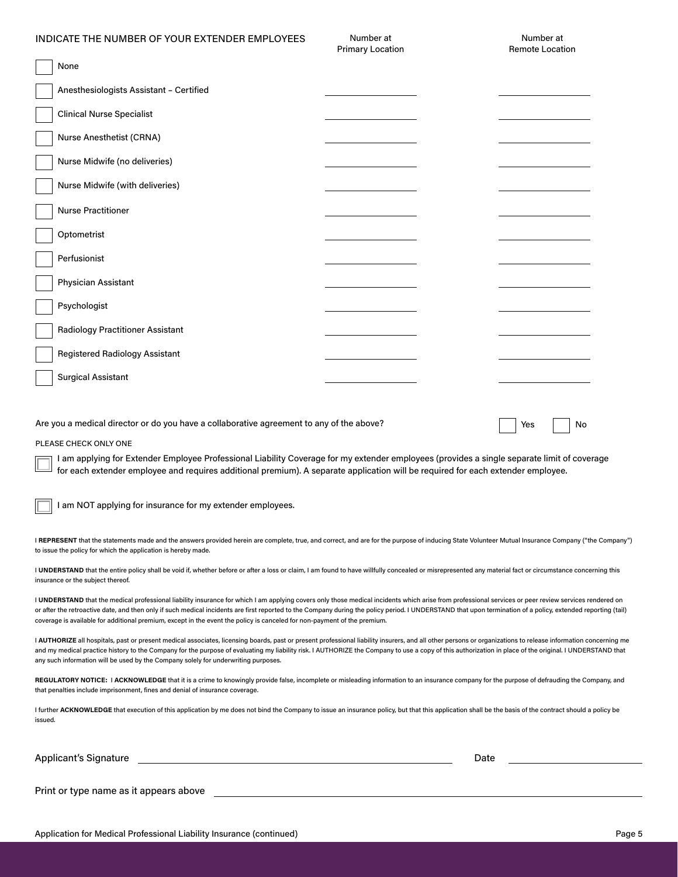#### INDICATE THE NUMBER OF YOUR EXTENDER EMPLOYEES

Number at Primary Location

|                                                                                                                                                                                                                                                                                 | <b>Primary Location</b> |  | Remote Location |
|---------------------------------------------------------------------------------------------------------------------------------------------------------------------------------------------------------------------------------------------------------------------------------|-------------------------|--|-----------------|
| None                                                                                                                                                                                                                                                                            |                         |  |                 |
| Anesthesiologists Assistant - Certified                                                                                                                                                                                                                                         |                         |  |                 |
| <b>Clinical Nurse Specialist</b>                                                                                                                                                                                                                                                |                         |  |                 |
| Nurse Anesthetist (CRNA)                                                                                                                                                                                                                                                        |                         |  |                 |
| Nurse Midwife (no deliveries)                                                                                                                                                                                                                                                   |                         |  |                 |
| Nurse Midwife (with deliveries)                                                                                                                                                                                                                                                 |                         |  |                 |
| <b>Nurse Practitioner</b>                                                                                                                                                                                                                                                       |                         |  |                 |
| Optometrist                                                                                                                                                                                                                                                                     |                         |  |                 |
| Perfusionist                                                                                                                                                                                                                                                                    |                         |  |                 |
| Physician Assistant                                                                                                                                                                                                                                                             |                         |  |                 |
| Psychologist                                                                                                                                                                                                                                                                    |                         |  |                 |
| <b>Radiology Practitioner Assistant</b>                                                                                                                                                                                                                                         |                         |  |                 |
| <b>Registered Radiology Assistant</b>                                                                                                                                                                                                                                           |                         |  |                 |
| <b>Surgical Assistant</b>                                                                                                                                                                                                                                                       |                         |  |                 |
|                                                                                                                                                                                                                                                                                 |                         |  |                 |
| Are you a medical director or do you have a collaborative agreement to any of the above?                                                                                                                                                                                        |                         |  | No<br>Yes       |
| PLEASE CHECK ONLY ONE                                                                                                                                                                                                                                                           |                         |  |                 |
| I am applying for Extender Employee Professional Liability Coverage for my extender employees (provides a single separate limit of coverage<br>for each extender employee and requires additional premium). A separate application will be required for each extender employee. |                         |  |                 |

I am NOT applying for insurance for my extender employees.

| I REPRESENT that the statements made and the answers provided herein are complete, true, and correct, and are for the purpose of inducing State Volunteer Mutual Insurance Company ("the Company") |
|----------------------------------------------------------------------------------------------------------------------------------------------------------------------------------------------------|
| to issue the policy for which the application is hereby made.                                                                                                                                      |

I UNDERSTAND that the entire policy shall be void if, whether before or after a loss or claim, I am found to have willfully concealed or misrepresented any material fact or circumstance concerning this insurance or the subject thereof.

I UNDERSTAND that the medical professional liability insurance for which I am applying covers only those medical incidents which arise from professional services or peer review services rendered on or after the retroactive date, and then only if such medical incidents are first reported to the Company during the policy period. I UNDERSTAND that upon termination of a policy, extended reporting (tail) coverage is available for additional premium, except in the event the policy is canceled for non-payment of the premium.

I AUTHORIZE all hospitals, past or present medical associates, licensing boards, past or present professional liability insurers, and all other persons or organizations to release information concerning me and my medical practice history to the Company for the purpose of evaluating my liability risk. I AUTHORIZE the Company to use a copy of this authorization in place of the original. I UNDERSTAND that any such information will be used by the Company solely for underwriting purposes.

**REGULATORY NOTICE:** I **ACKNOWLEDGE** that it is a crime to knowingly provide false, incomplete or misleading information to an insurance company for the purpose of defrauding the Company, and that penalties include imprisonment, fines and denial of insurance coverage.

I further ACKNOWLEDGE that execution of this application by me does not bind the Company to issue an insurance policy, but that this application shall be the basis of the contract should a policy be issued.

Applicant's Signature **Date of Applicant's Signature**  $\blacksquare$ 

Print or type name as it appears above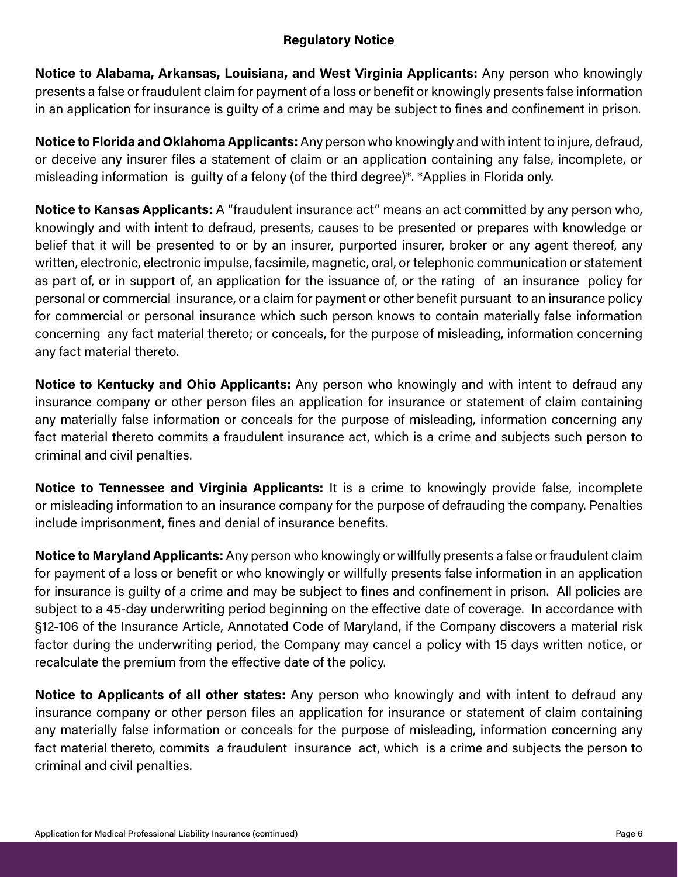## **Regulatory Notice**

**Notice to Alabama, Arkansas, Louisiana, and West Virginia Applicants:** Any person who knowingly presents a false or fraudulent claim for payment of a loss or benefit or knowingly presents false information in an application for insurance is guilty of a crime and may be subject to fines and confinement in prison.

**Notice to Florida and Oklahoma Applicants:** Any person who knowingly and with intent to injure, defraud, or deceive any insurer files a statement of claim or an application containing any false, incomplete, or misleading information is guilty of a felony (of the third degree)\*. \*Applies in Florida only.

**Notice to Kansas Applicants:** A "fraudulent insurance act" means an act committed by any person who, knowingly and with intent to defraud, presents, causes to be presented or prepares with knowledge or belief that it will be presented to or by an insurer, purported insurer, broker or any agent thereof, any written, electronic, electronic impulse, facsimile, magnetic, oral, or telephonic communication or statement as part of, or in support of, an application for the issuance of, or the rating of an insurance policy for personal or commercial insurance, or a claim for payment or other benefit pursuant to an insurance policy for commercial or personal insurance which such person knows to contain materially false information concerning any fact material thereto; or conceals, for the purpose of misleading, information concerning any fact material thereto.

**Notice to Kentucky and Ohio Applicants:** Any person who knowingly and with intent to defraud any insurance company or other person files an application for insurance or statement of claim containing any materially false information or conceals for the purpose of misleading, information concerning any fact material thereto commits a fraudulent insurance act, which is a crime and subjects such person to criminal and civil penalties.

**Notice to Tennessee and Virginia Applicants:** It is a crime to knowingly provide false, incomplete or misleading information to an insurance company for the purpose of defrauding the company. Penalties include imprisonment, fines and denial of insurance benefits.

**Notice to Maryland Applicants:** Any person who knowingly or willfully presents a false or fraudulent claim for payment of a loss or benefit or who knowingly or willfully presents false information in an application for insurance is guilty of a crime and may be subject to fines and confinement in prison. All policies are subject to a 45-day underwriting period beginning on the effective date of coverage. In accordance with §12-106 of the Insurance Article, Annotated Code of Maryland, if the Company discovers a material risk factor during the underwriting period, the Company may cancel a policy with 15 days written notice, or recalculate the premium from the effective date of the policy.

**Notice to Applicants of all other states:** Any person who knowingly and with intent to defraud any insurance company or other person files an application for insurance or statement of claim containing any materially false information or conceals for the purpose of misleading, information concerning any fact material thereto, commits a fraudulent insurance act, which is a crime and subjects the person to criminal and civil penalties.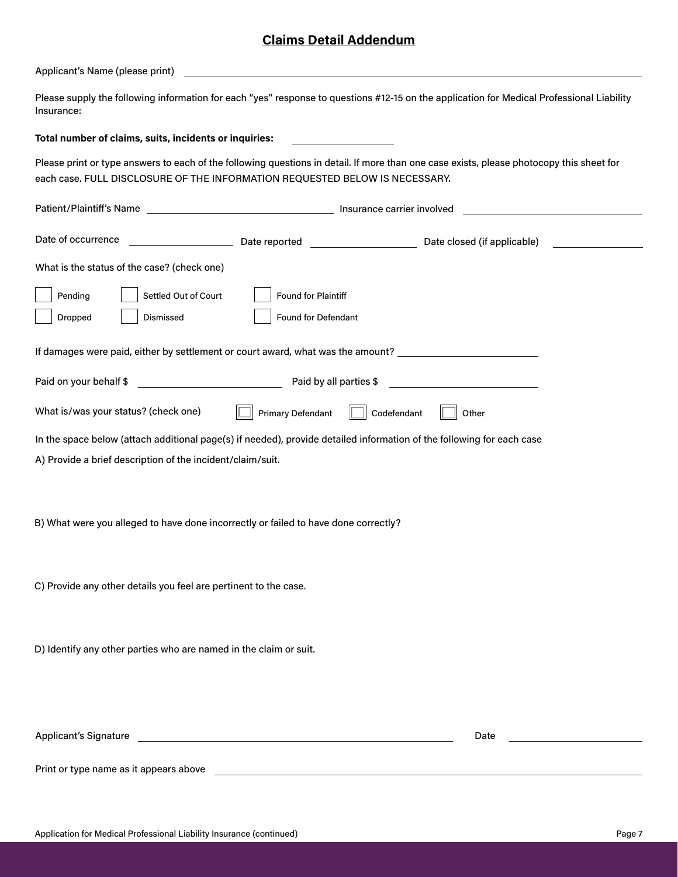## **Claims Detail Addendum**

Applicant's Name (please print)

Please supply the following information for each "yes" response to questions #12-15 on the application for Medical Professional Liability Insurance:

#### **Total number of claims, suits, incidents or inquiries:**

Please print or type answers to each of the following questions in detail. If more than one case exists, please photocopy this sheet for each case. FULL DISCLOSURE OF THE INFORMATION REQUESTED BELOW IS NECESSARY.

| Date of occurrence<br>and the control of the control of                                                                                                                                                                              |                          |             | Date closed (if applicable) |  |
|--------------------------------------------------------------------------------------------------------------------------------------------------------------------------------------------------------------------------------------|--------------------------|-------------|-----------------------------|--|
| What is the status of the case? (check one)                                                                                                                                                                                          |                          |             |                             |  |
| Pending<br>Settled Out of Court                                                                                                                                                                                                      | Found for Plaintiff      |             |                             |  |
| Dismissed<br>Dropped                                                                                                                                                                                                                 | Found for Defendant      |             |                             |  |
| If damages were paid, either by settlement or court award, what was the amount? _____________________________                                                                                                                        |                          |             |                             |  |
| Paid on your behalf \$<br><u> 1989 - Johann Barbara, martxa amerikan per</u>                                                                                                                                                         | Paid by all parties \$   |             |                             |  |
| What is/was your status? (check one)                                                                                                                                                                                                 | <b>Primary Defendant</b> | Codefendant | Other                       |  |
| In the space below (attach additional page(s) if needed), provide detailed information of the following for each case                                                                                                                |                          |             |                             |  |
| A) Provide a brief description of the incident/claim/suit.                                                                                                                                                                           |                          |             |                             |  |
| B) What were you alleged to have done incorrectly or failed to have done correctly?                                                                                                                                                  |                          |             |                             |  |
| C) Provide any other details you feel are pertinent to the case.                                                                                                                                                                     |                          |             |                             |  |
|                                                                                                                                                                                                                                      |                          |             |                             |  |
| D) Identify any other parties who are named in the claim or suit.                                                                                                                                                                    |                          |             |                             |  |
|                                                                                                                                                                                                                                      |                          |             |                             |  |
| Applicant's Signature <u>contract and a series of the series of the series of the series of the series of the series of the series of the series of the series of the series of the series of the series of the series of the se</u> |                          |             | Date                        |  |
| Print or type name as it appears above                                                                                                                                                                                               |                          |             |                             |  |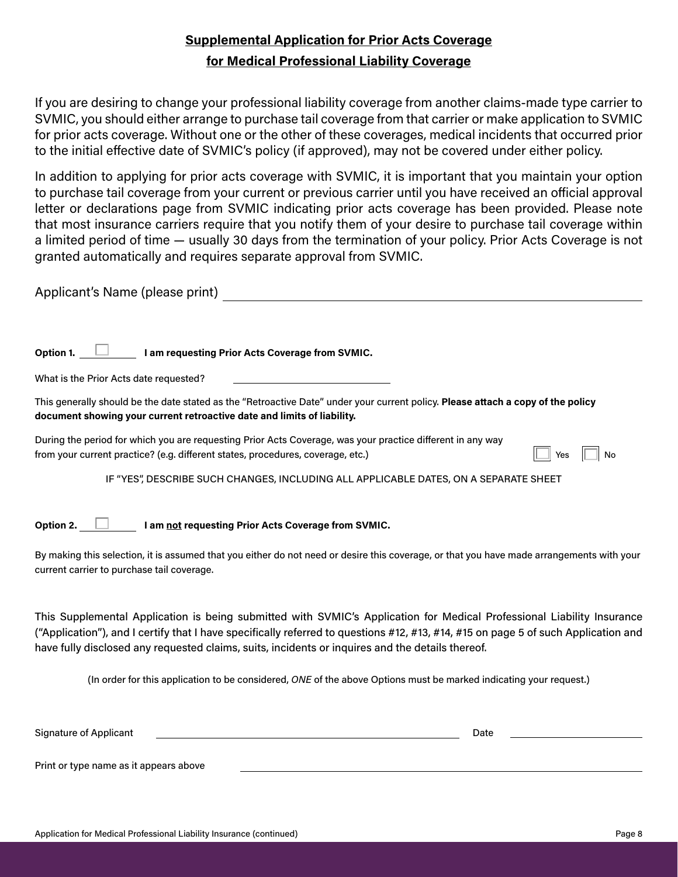## **Supplemental Application for Prior Acts Coverage for Medical Professional Liability Coverage**

If you are desiring to change your professional liability coverage from another claims-made type carrier to SVMIC, you should either arrange to purchase tail coverage from that carrier or make application to SVMIC for prior acts coverage. Without one or the other of these coverages, medical incidents that occurred prior to the initial effective date of SVMIC's policy (if approved), may not be covered under either policy.

In addition to applying for prior acts coverage with SVMIC, it is important that you maintain your option to purchase tail coverage from your current or previous carrier until you have received an official approval letter or declarations page from SVMIC indicating prior acts coverage has been provided. Please note that most insurance carriers require that you notify them of your desire to purchase tail coverage within a limited period of time — usually 30 days from the termination of your policy. Prior Acts Coverage is not granted automatically and requires separate approval from SVMIC.

Applicant's Name (please print) and the control of the control of the control of the control of the control of the control of the control of the control of the control of the control of the control of the control of the co

Option 1. **I I** am requesting Prior Acts Coverage from SVMIC.

What is the Prior Acts date requested?

This generally should be the date stated as the "Retroactive Date" under your current policy. **Please attach a copy of the policy document showing your current retroactive date and limits of liability.** 

| During the period for which you are requesting Prior Acts Coverage, was your practice different in any way |  |
|------------------------------------------------------------------------------------------------------------|--|
| from your current practice? (e.g. different states, procedures, coverage, etc.)                            |  |

N<sub>o</sub>

IF "YES", DESCRIBE SUCH CHANGES, INCLUDING ALL APPLICABLE DATES, ON A SEPARATE SHEET

Option 2. **I** am not requesting Prior Acts Coverage from SVMIC.

By making this selection, it is assumed that you either do not need or desire this coverage, or that you have made arrangements with your current carrier to purchase tail coverage.

This Supplemental Application is being submitted with SVMIC's Application for Medical Professional Liability Insurance ("Application"), and I certify that I have specifically referred to questions #12, #13, #14, #15 on page 5 of such Application and have fully disclosed any requested claims, suits, incidents or inquires and the details thereof.

(In order for this application to be considered, *ONE* of the above Options must be marked indicating your request.)

| Signature of Applicant                 | Date |  |
|----------------------------------------|------|--|
|                                        |      |  |
| Print or type name as it appears above |      |  |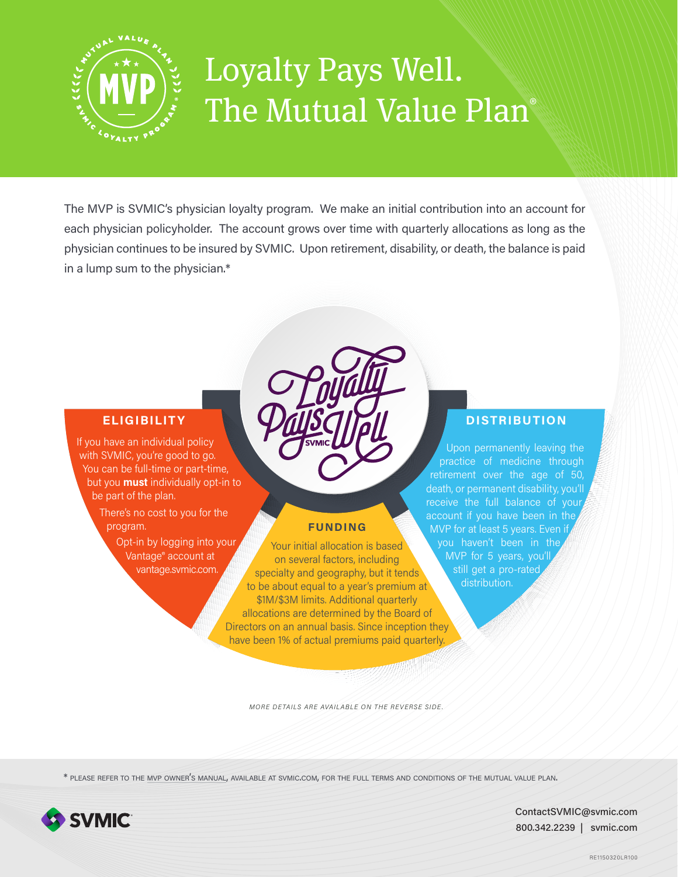

# Loyalty Pays Well. The Mutual Value Plan®

The MVP is SVMIC's physician loyalty program. We make an initial contribution into an account for each physician policyholder. The account grows over time with quarterly allocations as long as the physician continues to be insured by SVMIC. Upon retirement, disability, or death, the balance is paid in a lump sum to the physician.\*

## **ELIGIBILITY**

If you have an individual policy with SVMIC, you're good to go. You can be full-time or part-time, but you **must** individually opt-in to be part of the plan.

> There's no cost to you for the program.

> > Opt-in by logging into your Vantage® account at vantage.svmic.com.

## **FUNDING**

Your initial allocation is based on several factors, including specialty and geography, but it tends to be about equal to a year's premium at \$1M/\$3M limits. Additional quarterly allocations are determined by the Board of Directors on an annual basis. Since inception they have been 1% of actual premiums paid quarterly

## **DISTRIBUTION**

Upon permanently leaving the practice of medicine through retirement over the age of 50, death, or permanent disability, you'll receive the full balance of your MVP for at least 5 years. Even if you haven't been in the MVP for 5 years, you'll still get a pro-rated distribution.

*MORE DETAILS ARE AVAILABLE ON THE REVERSE SIDE.*

\* please refer to the mvp owner's manual, available at svmic.com, for the full terms and conditions of the mutual value plan.



ContactSVMIC@svmic.com 800.342.2239 | svmic.com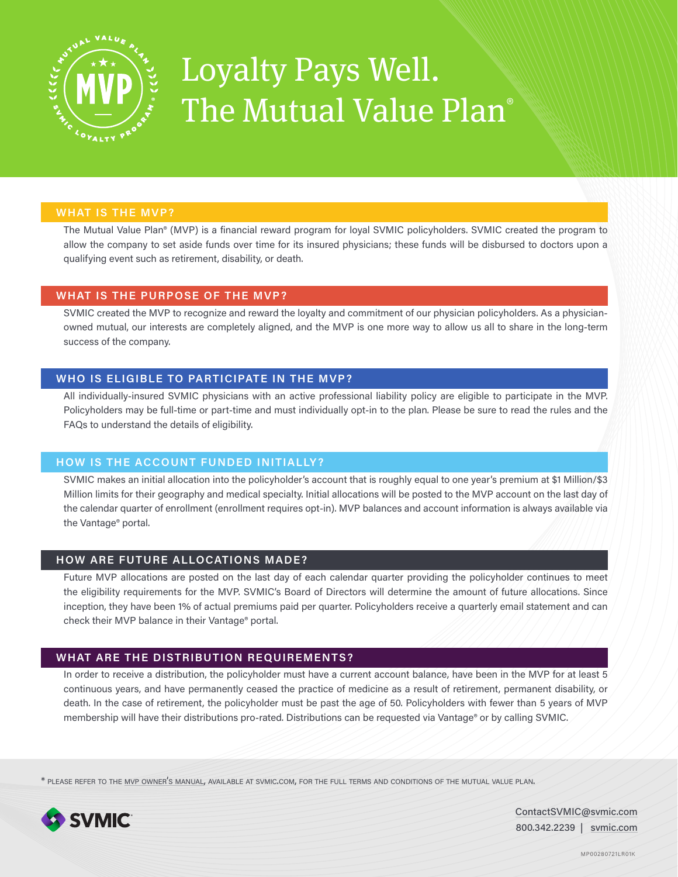

## Loyalty Pays Well. The Mutual Value Plan<sup>®</sup>

#### **WHAT IS THE MVP?**

The Mutual Value Plan® (MVP) is a financial reward program for loyal SVMIC policyholders. SVMIC created the program to allow the company to set aside funds over time for its insured physicians; these funds will be disbursed to doctors upon a qualifying event such as retirement, disability, or death.

#### **WHAT IS THE PURPOSE OF THE MVP?**

SVMIC created the MVP to recognize and reward the loyalty and commitment of our physician policyholders. As a physicianowned mutual, our interests are completely aligned, and the MVP is one more way to allow us all to share in the long-term success of the company.

### **WHO IS ELIGIBLE TO PARTICIPATE IN THE MVP?**

All individually-insured SVMIC physicians with an active professional liability policy are eligible to participate in the MVP. Policyholders may be full-time or part-time and must individually opt-in to the plan. Please be sure to read the rules and the FAQs to understand the details of eligibility.

#### **HOW IS THE ACCOUNT FUNDED INITIALLY ?**

SVMIC makes an initial allocation into the policyholder's account that is roughly equal to one year's premium at \$1 Million/\$3 Million limits for their geography and medical specialty. Initial allocations will be posted to the MVP account on the last day of the calendar quarter of enrollment (enrollment requires opt-in). MVP balances and account information is always available via the Vantage® portal.

#### **HOW ARE FUTURE ALLOCATIONS MADE?**

Future MVP allocations are posted on the last day of each calendar quarter providing the policyholder continues to meet the eligibility requirements for the MVP. SVMIC's Board of Directors will determine the amount of future allocations. Since inception, they have been 1% of actual premiums paid per quarter. Policyholders receive a quarterly email statement and can check their MVP balance in their Vantage® portal.

### **WHAT ARE THE DISTRIBUTION REQUIREMENTS?**

In order to receive a distribution, the policyholder must have a current account balance, have been in the MVP for at least 5 continuous years, and have permanently ceased the practice of medicine as a result of retirement, permanent disability, or death. In the case of retirement, the policyholder must be past the age of 50. Policyholders with fewer than 5 years of MVP membership will have their distributions pro-rated. Distributions can be requested via Vantage® or by calling SVMIC.

\* please refer to the mvp owner's manual, available at svmic.com, for the full terms and conditions of the mutual value plan.



ContactSVMIC@svmic.com 800.342.2239 | svmic.com